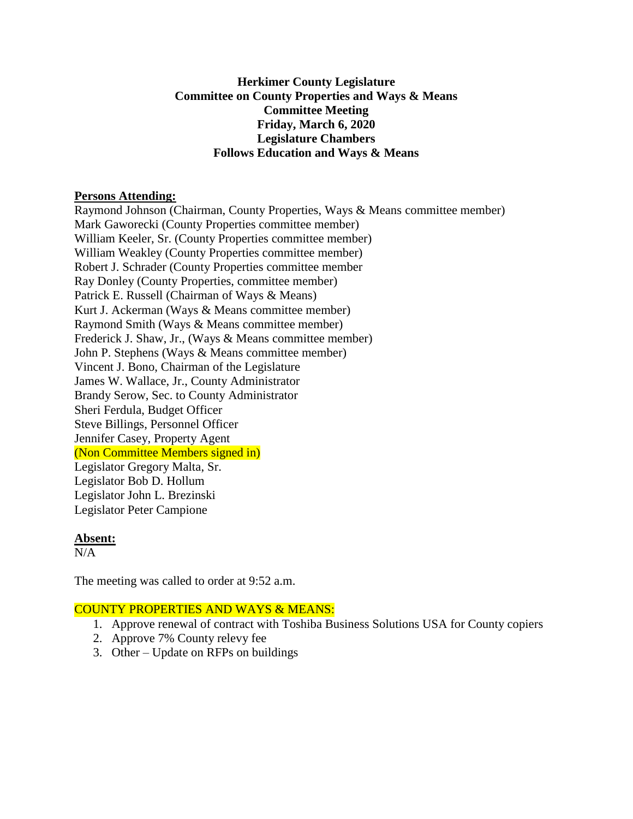## **Herkimer County Legislature Committee on County Properties and Ways & Means Committee Meeting Friday, March 6, 2020 Legislature Chambers Follows Education and Ways & Means**

#### **Persons Attending:**

Raymond Johnson (Chairman, County Properties, Ways & Means committee member) Mark Gaworecki (County Properties committee member) William Keeler, Sr. (County Properties committee member) William Weakley (County Properties committee member) Robert J. Schrader (County Properties committee member Ray Donley (County Properties, committee member) Patrick E. Russell (Chairman of Ways & Means) Kurt J. Ackerman (Ways & Means committee member) Raymond Smith (Ways & Means committee member) Frederick J. Shaw, Jr., (Ways & Means committee member) John P. Stephens (Ways & Means committee member) Vincent J. Bono, Chairman of the Legislature James W. Wallace, Jr., County Administrator Brandy Serow, Sec. to County Administrator Sheri Ferdula, Budget Officer Steve Billings, Personnel Officer Jennifer Casey, Property Agent (Non Committee Members signed in) Legislator Gregory Malta, Sr. Legislator Bob D. Hollum Legislator John L. Brezinski Legislator Peter Campione

#### **Absent:**

 $N/A$ 

The meeting was called to order at 9:52 a.m.

# COUNTY PROPERTIES AND WAYS & MEANS:

- 1. Approve renewal of contract with Toshiba Business Solutions USA for County copiers
- 2. Approve 7% County relevy fee
- 3. Other Update on RFPs on buildings